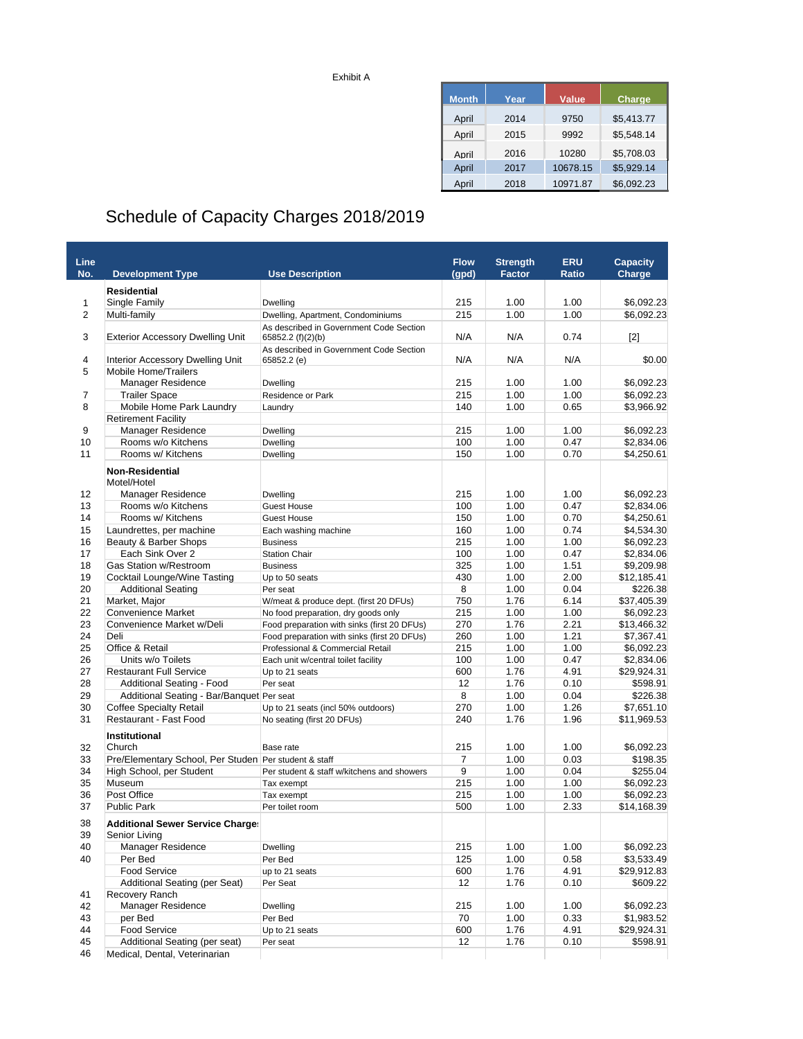Exhibit A

| <b>Month</b> | Year | Value    | Charge     |
|--------------|------|----------|------------|
| April        | 2014 | 9750     | \$5,413.77 |
| April        | 2015 | 9992     | \$5,548.14 |
| April        | 2016 | 10280    | \$5,708.03 |
| April        | 2017 | 10678.15 | \$5,929.14 |
| April        | 2018 | 10971.87 | \$6.092.23 |

## Schedule of Capacity Charges 2018/2019

| Line                |                                                          |                                                                              | <b>Flow</b> | <b>Strength</b> | <b>ERU</b> | <b>Capacity</b> |
|---------------------|----------------------------------------------------------|------------------------------------------------------------------------------|-------------|-----------------|------------|-----------------|
| No.                 | <b>Development Type</b>                                  | <b>Use Description</b>                                                       | (gpd)       | Factor          | Ratio      | Charge          |
|                     |                                                          |                                                                              |             |                 |            |                 |
|                     | <b>Residential</b>                                       |                                                                              | 215         | 1.00            | 1.00       | \$6,092.23      |
| 1<br>$\overline{2}$ | Single Family                                            | Dwelling                                                                     | 215         | 1.00            | 1.00       | \$6,092.23      |
|                     | Multi-family                                             | Dwelling, Apartment, Condominiums<br>As described in Government Code Section |             |                 |            |                 |
| 3                   | <b>Exterior Accessory Dwelling Unit</b>                  | 65852.2 (f)(2)(b)                                                            | N/A         | N/A             | 0.74       | [2]             |
| 4                   | Interior Accessory Dwelling Unit                         | As described in Government Code Section<br>65852.2 (e)                       | N/A         | N/A             | N/A        | \$0.00          |
| 5                   | <b>Mobile Home/Trailers</b>                              |                                                                              |             |                 |            |                 |
|                     | Manager Residence                                        | Dwelling                                                                     | 215         | 1.00            | 1.00       | \$6,092.23      |
| $\overline{7}$      | <b>Trailer Space</b>                                     | Residence or Park                                                            | 215         | 1.00            | 1.00       | \$6,092.23      |
| 8                   | Mobile Home Park Laundry                                 | Laundry                                                                      | 140         | 1.00            | 0.65       | \$3,966.92      |
|                     | <b>Retirement Facility</b>                               |                                                                              |             |                 |            |                 |
| 9                   | <b>Manager Residence</b>                                 | Dwelling                                                                     | 215         | 1.00            | 1.00       | \$6,092.23      |
| 10                  | Rooms w/o Kitchens                                       | Dwelling                                                                     | 100         | 1.00            | 0.47       | \$2,834.06      |
| 11                  | Rooms w/ Kitchens                                        | Dwelling                                                                     | 150         | 1.00            | 0.70       | \$4,250.61      |
|                     | <b>Non-Residential</b><br>Motel/Hotel                    |                                                                              |             |                 |            |                 |
| 12                  | Manager Residence                                        | Dwelling                                                                     | 215         | 1.00            | 1.00       | \$6,092.23      |
| 13                  | Rooms w/o Kitchens                                       | <b>Guest House</b>                                                           | 100         | 1.00            | 0.47       | \$2,834.06      |
| 14                  | Rooms w/ Kitchens                                        | <b>Guest House</b>                                                           | 150         | 1.00            | 0.70       | \$4,250.61      |
| 15                  | Laundrettes, per machine                                 | Each washing machine                                                         | 160         | 1.00            | 0.74       | \$4.534.30      |
| 16                  | Beauty & Barber Shops                                    | <b>Business</b>                                                              | 215         | 1.00            | 1.00       | \$6,092.23      |
| 17                  | Each Sink Over 2                                         | <b>Station Chair</b>                                                         | 100         | 1.00            | 0.47       | \$2,834.06      |
| 18                  | <b>Gas Station w/Restroom</b>                            | <b>Business</b>                                                              | 325         | 1.00            | 1.51       | \$9,209.98      |
| 19                  | Cocktail Lounge/Wine Tasting                             | Up to 50 seats                                                               | 430         | 1.00            | 2.00       | \$12,185.41     |
| 20                  | <b>Additional Seating</b>                                | Per seat                                                                     | 8           | 1.00            | 0.04       | \$226.38        |
| 21                  | Market, Major                                            | W/meat & produce dept. (first 20 DFUs)                                       | 750         | 1.76            | 6.14       | \$37,405.39     |
| 22                  | <b>Convenience Market</b>                                | No food preparation, dry goods only                                          | 215         | 1.00            | 1.00       | \$6,092.23      |
| 23                  | Convenience Market w/Deli                                | Food preparation with sinks (first 20 DFUs)                                  | 270         | 1.76            | 2.21       | \$13,466.32     |
| 24                  | Deli                                                     | Food preparation with sinks (first 20 DFUs)                                  | 260         | 1.00            | 1.21       | \$7,367.41      |
| 25                  | Office & Retail                                          | Professional & Commercial Retail                                             | 215         | 1.00            | 1.00       | \$6,092.23      |
| 26                  | Units w/o Toilets                                        |                                                                              | 100         | 1.00            |            | \$2,834.06      |
|                     |                                                          | Each unit w/central toilet facility                                          |             |                 | 0.47       |                 |
| 27                  | <b>Restaurant Full Service</b>                           | Up to 21 seats                                                               | 600         | 1.76            | 4.91       | \$29,924.31     |
| 28                  | Additional Seating - Food                                | Per seat                                                                     | 12          | 1.76            | 0.10       | \$598.91        |
| 29                  | Additional Seating - Bar/Banquet Per seat                |                                                                              | 8           | 1.00            | 0.04       | \$226.38        |
| 30                  | <b>Coffee Specialty Retail</b>                           | Up to 21 seats (incl 50% outdoors)                                           | 270         | 1.00            | 1.26       | \$7,651.10      |
| 31                  | Restaurant - Fast Food                                   | No seating (first 20 DFUs)                                                   | 240         | 1.76            | 1.96       | \$11,969.53     |
| 32                  | <b>Institutional</b><br>Church                           | Base rate                                                                    | 215         | 1.00            | 1.00       | \$6,092.23      |
| 33                  | Pre/Elementary School, Per Studen Per student & staff    |                                                                              | 7           | 1.00            | 0.03       | \$198.35        |
| 34                  | High School, per Student                                 | Per student & staff w/kitchens and showers                                   | 9           | 1.00            | 0.04       | \$255.04        |
| 35                  | Museum                                                   | Tax exempt                                                                   | 215         | 1.00            | 1.00       | \$6,092.23      |
| 36                  | Post Office                                              | Tax exempt                                                                   | 215         | 1.00            | 1.00       | \$6,092.23      |
| 37                  | <b>Public Park</b>                                       | Per toilet room                                                              | 500         | 1.00            | 2.33       | \$14,168.39     |
|                     |                                                          |                                                                              |             |                 |            |                 |
| 38<br>39            | <b>Additional Sewer Service Charge:</b><br>Senior Living |                                                                              |             |                 |            |                 |
| 40                  | <b>Manager Residence</b>                                 | Dwelling                                                                     | 215         | 1.00            | 1.00       | \$6,092.23      |
| 40                  | Per Bed                                                  | Per Bed                                                                      | 125         | 1.00            | 0.58       | \$3,533.49      |
|                     | Food Service                                             | up to 21 seats                                                               | 600         | 1.76            | 4.91       | \$29,912.83     |
|                     | Additional Seating (per Seat)                            | Per Seat                                                                     | 12          | 1.76            | 0.10       | \$609.22        |
| 41                  | Recovery Ranch                                           |                                                                              |             |                 |            |                 |
| 42                  | Manager Residence                                        | Dwelling                                                                     | 215         | 1.00            | 1.00       | \$6,092.23      |
| 43                  | per Bed                                                  | Per Bed                                                                      | 70          | 1.00            | 0.33       | \$1,983.52      |
| 44                  | <b>Food Service</b>                                      | Up to 21 seats                                                               | 600         | 1.76            | 4.91       | \$29,924.31     |
| 45                  | Additional Seating (per seat)                            | Per seat                                                                     | 12          | 1.76            | 0.10       | \$598.91        |
| 46                  | Medical, Dental, Veterinarian                            |                                                                              |             |                 |            |                 |